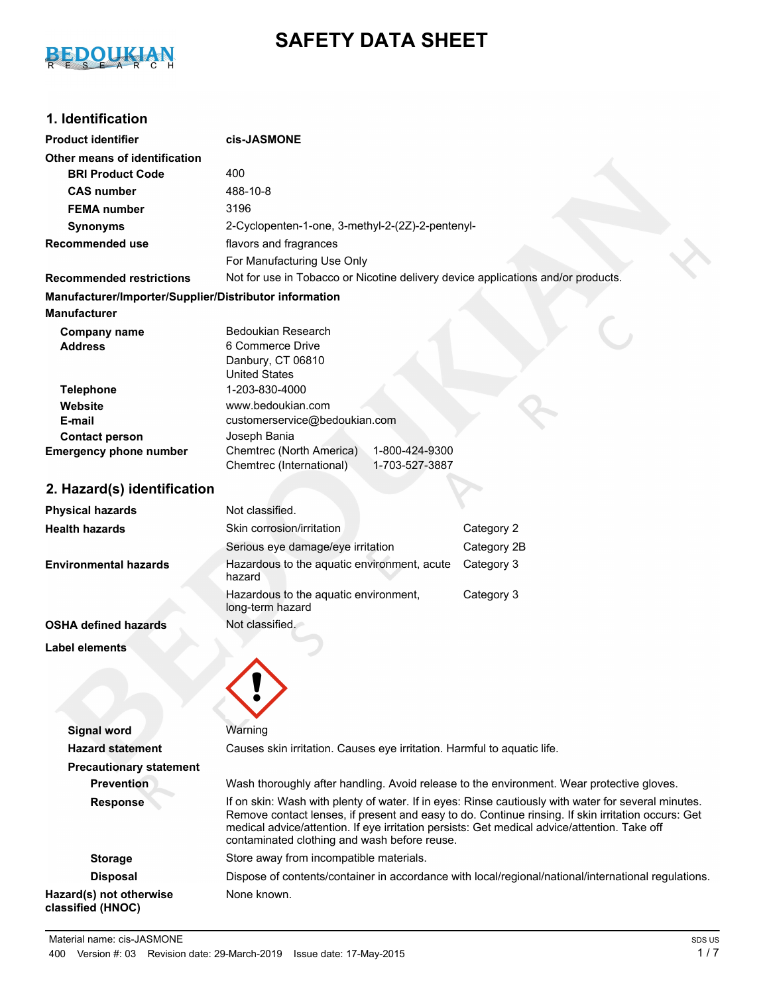# BEDOUKIAN

## **SAFETY DATA SHEET**

## **1. Identification**

| <b>Product identifier</b>                              | cis-JASMONE                                                                                                                                  |                                                                                                                                                                                                           |
|--------------------------------------------------------|----------------------------------------------------------------------------------------------------------------------------------------------|-----------------------------------------------------------------------------------------------------------------------------------------------------------------------------------------------------------|
| Other means of identification                          |                                                                                                                                              |                                                                                                                                                                                                           |
| <b>BRI Product Code</b>                                | 400                                                                                                                                          |                                                                                                                                                                                                           |
| <b>CAS number</b>                                      | 488-10-8                                                                                                                                     |                                                                                                                                                                                                           |
| <b>FEMA</b> number                                     | 3196                                                                                                                                         |                                                                                                                                                                                                           |
| <b>Synonyms</b>                                        | 2-Cyclopenten-1-one, 3-methyl-2-(2Z)-2-pentenyl-                                                                                             |                                                                                                                                                                                                           |
| <b>Recommended use</b>                                 | flavors and fragrances                                                                                                                       |                                                                                                                                                                                                           |
|                                                        | For Manufacturing Use Only                                                                                                                   |                                                                                                                                                                                                           |
| <b>Recommended restrictions</b>                        | Not for use in Tobacco or Nicotine delivery device applications and/or products.                                                             |                                                                                                                                                                                                           |
| Manufacturer/Importer/Supplier/Distributor information |                                                                                                                                              |                                                                                                                                                                                                           |
| <b>Manufacturer</b>                                    |                                                                                                                                              |                                                                                                                                                                                                           |
| <b>Company name</b>                                    | Bedoukian Research                                                                                                                           |                                                                                                                                                                                                           |
| <b>Address</b>                                         | 6 Commerce Drive                                                                                                                             |                                                                                                                                                                                                           |
|                                                        | Danbury, CT 06810                                                                                                                            |                                                                                                                                                                                                           |
| <b>Telephone</b>                                       | <b>United States</b><br>1-203-830-4000                                                                                                       |                                                                                                                                                                                                           |
| Website                                                | www.bedoukian.com                                                                                                                            |                                                                                                                                                                                                           |
| E-mail                                                 | customerservice@bedoukian.com                                                                                                                |                                                                                                                                                                                                           |
| <b>Contact person</b>                                  | Joseph Bania                                                                                                                                 |                                                                                                                                                                                                           |
| <b>Emergency phone number</b>                          | Chemtrec (North America)<br>1-800-424-9300                                                                                                   |                                                                                                                                                                                                           |
|                                                        | Chemtrec (International)<br>1-703-527-3887                                                                                                   |                                                                                                                                                                                                           |
| 2. Hazard(s) identification                            |                                                                                                                                              |                                                                                                                                                                                                           |
| <b>Physical hazards</b>                                | Not classified.                                                                                                                              |                                                                                                                                                                                                           |
| <b>Health hazards</b>                                  | Skin corrosion/irritation                                                                                                                    | Category 2                                                                                                                                                                                                |
|                                                        | Serious eye damage/eye irritation                                                                                                            | Category 2B                                                                                                                                                                                               |
| <b>Environmental hazards</b>                           | Hazardous to the aquatic environment, acute<br>hazard                                                                                        | Category 3                                                                                                                                                                                                |
|                                                        | Hazardous to the aquatic environment,<br>long-term hazard                                                                                    | Category 3                                                                                                                                                                                                |
| <b>OSHA defined hazards</b>                            | Not classified.                                                                                                                              |                                                                                                                                                                                                           |
| <b>Label elements</b>                                  |                                                                                                                                              |                                                                                                                                                                                                           |
|                                                        |                                                                                                                                              |                                                                                                                                                                                                           |
|                                                        |                                                                                                                                              |                                                                                                                                                                                                           |
|                                                        |                                                                                                                                              |                                                                                                                                                                                                           |
|                                                        |                                                                                                                                              |                                                                                                                                                                                                           |
| <b>Signal word</b>                                     | Warning                                                                                                                                      |                                                                                                                                                                                                           |
| <b>Hazard statement</b>                                | Causes skin irritation. Causes eye irritation. Harmful to aquatic life.                                                                      |                                                                                                                                                                                                           |
| <b>Precautionary statement</b>                         |                                                                                                                                              |                                                                                                                                                                                                           |
| <b>Prevention</b>                                      | Wash thoroughly after handling. Avoid release to the environment. Wear protective gloves.                                                    |                                                                                                                                                                                                           |
| <b>Response</b>                                        | medical advice/attention. If eye irritation persists: Get medical advice/attention. Take off<br>contaminated clothing and wash before reuse. | If on skin: Wash with plenty of water. If in eyes: Rinse cautiously with water for several minutes.<br>Remove contact lenses, if present and easy to do. Continue rinsing. If skin irritation occurs: Get |
| <b>Storage</b>                                         | Store away from incompatible materials.                                                                                                      |                                                                                                                                                                                                           |
| <b>Disposal</b>                                        |                                                                                                                                              | Dispose of contents/container in accordance with local/regional/national/international regulations.                                                                                                       |
| Hazard(s) not otherwise<br>classified (HNOC)           | None known.                                                                                                                                  |                                                                                                                                                                                                           |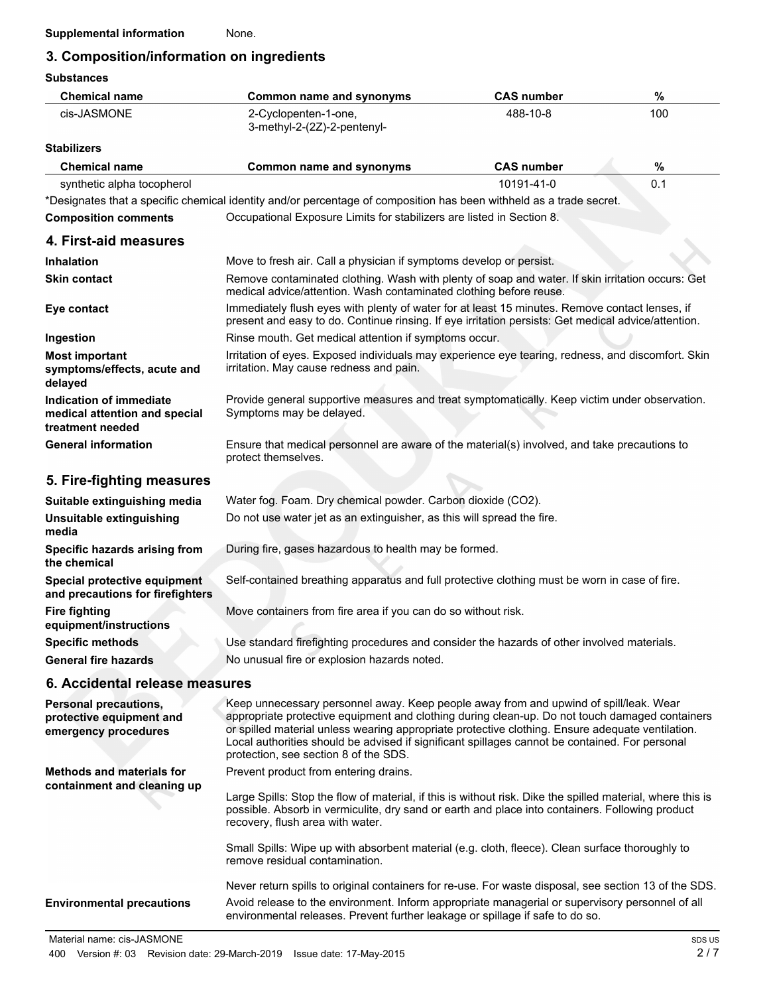## **3. Composition/information on ingredients**

**Substances**

| <b>Chemical name</b>                                                             | <b>Common name and synonyms</b>                                                                                                                                                                                                                                                                                                                                                                                                        | <b>CAS number</b> | $\%$ |  |
|----------------------------------------------------------------------------------|----------------------------------------------------------------------------------------------------------------------------------------------------------------------------------------------------------------------------------------------------------------------------------------------------------------------------------------------------------------------------------------------------------------------------------------|-------------------|------|--|
| cis-JASMONE                                                                      | 488-10-8<br>2-Cyclopenten-1-one,<br>3-methyl-2-(2Z)-2-pentenyl-                                                                                                                                                                                                                                                                                                                                                                        |                   | 100  |  |
| <b>Stabilizers</b>                                                               |                                                                                                                                                                                                                                                                                                                                                                                                                                        |                   |      |  |
| <b>Chemical name</b>                                                             | <b>Common name and synonyms</b>                                                                                                                                                                                                                                                                                                                                                                                                        | <b>CAS number</b> | $\%$ |  |
| synthetic alpha tocopherol                                                       |                                                                                                                                                                                                                                                                                                                                                                                                                                        | 10191-41-0        | 0.1  |  |
|                                                                                  | *Designates that a specific chemical identity and/or percentage of composition has been withheld as a trade secret.                                                                                                                                                                                                                                                                                                                    |                   |      |  |
| <b>Composition comments</b>                                                      | Occupational Exposure Limits for stabilizers are listed in Section 8.                                                                                                                                                                                                                                                                                                                                                                  |                   |      |  |
| 4. First-aid measures                                                            |                                                                                                                                                                                                                                                                                                                                                                                                                                        |                   |      |  |
| Inhalation                                                                       | Move to fresh air. Call a physician if symptoms develop or persist.                                                                                                                                                                                                                                                                                                                                                                    |                   |      |  |
| <b>Skin contact</b>                                                              | Remove contaminated clothing. Wash with plenty of soap and water. If skin irritation occurs: Get<br>medical advice/attention. Wash contaminated clothing before reuse.                                                                                                                                                                                                                                                                 |                   |      |  |
| Eye contact                                                                      | Immediately flush eyes with plenty of water for at least 15 minutes. Remove contact lenses, if<br>present and easy to do. Continue rinsing. If eye irritation persists: Get medical advice/attention.                                                                                                                                                                                                                                  |                   |      |  |
| Ingestion                                                                        | Rinse mouth. Get medical attention if symptoms occur.                                                                                                                                                                                                                                                                                                                                                                                  |                   |      |  |
| <b>Most important</b><br>symptoms/effects, acute and<br>delayed                  | Irritation of eyes. Exposed individuals may experience eye tearing, redness, and discomfort. Skin<br>irritation. May cause redness and pain.                                                                                                                                                                                                                                                                                           |                   |      |  |
| Indication of immediate<br>medical attention and special<br>treatment needed     | Provide general supportive measures and treat symptomatically. Keep victim under observation.<br>Symptoms may be delayed.                                                                                                                                                                                                                                                                                                              |                   |      |  |
| <b>General information</b>                                                       | Ensure that medical personnel are aware of the material(s) involved, and take precautions to<br>protect themselves.                                                                                                                                                                                                                                                                                                                    |                   |      |  |
| 5. Fire-fighting measures                                                        |                                                                                                                                                                                                                                                                                                                                                                                                                                        |                   |      |  |
| Suitable extinguishing media                                                     | Water fog. Foam. Dry chemical powder. Carbon dioxide (CO2).                                                                                                                                                                                                                                                                                                                                                                            |                   |      |  |
| Unsuitable extinguishing<br>media                                                | Do not use water jet as an extinguisher, as this will spread the fire.                                                                                                                                                                                                                                                                                                                                                                 |                   |      |  |
| Specific hazards arising from<br>the chemical                                    | During fire, gases hazardous to health may be formed.                                                                                                                                                                                                                                                                                                                                                                                  |                   |      |  |
| Special protective equipment<br>and precautions for firefighters                 | Self-contained breathing apparatus and full protective clothing must be worn in case of fire.                                                                                                                                                                                                                                                                                                                                          |                   |      |  |
| <b>Fire fighting</b><br>equipment/instructions                                   | Move containers from fire area if you can do so without risk.                                                                                                                                                                                                                                                                                                                                                                          |                   |      |  |
| <b>Specific methods</b>                                                          | Use standard firefighting procedures and consider the hazards of other involved materials.                                                                                                                                                                                                                                                                                                                                             |                   |      |  |
| <b>General fire hazards</b>                                                      | No unusual fire or explosion hazards noted.                                                                                                                                                                                                                                                                                                                                                                                            |                   |      |  |
| 6. Accidental release measures                                                   |                                                                                                                                                                                                                                                                                                                                                                                                                                        |                   |      |  |
| <b>Personal precautions,</b><br>protective equipment and<br>emergency procedures | Keep unnecessary personnel away. Keep people away from and upwind of spill/leak. Wear<br>appropriate protective equipment and clothing during clean-up. Do not touch damaged containers<br>or spilled material unless wearing appropriate protective clothing. Ensure adequate ventilation.<br>Local authorities should be advised if significant spillages cannot be contained. For personal<br>protection, see section 8 of the SDS. |                   |      |  |
| <b>Methods and materials for</b>                                                 | Prevent product from entering drains.                                                                                                                                                                                                                                                                                                                                                                                                  |                   |      |  |
| containment and cleaning up                                                      | Large Spills: Stop the flow of material, if this is without risk. Dike the spilled material, where this is<br>possible. Absorb in vermiculite, dry sand or earth and place into containers. Following product<br>recovery, flush area with water.                                                                                                                                                                                      |                   |      |  |
|                                                                                  | Small Spills: Wipe up with absorbent material (e.g. cloth, fleece). Clean surface thoroughly to<br>remove residual contamination.                                                                                                                                                                                                                                                                                                      |                   |      |  |
|                                                                                  | Never return spills to original containers for re-use. For waste disposal, see section 13 of the SDS.                                                                                                                                                                                                                                                                                                                                  |                   |      |  |
| <b>Environmental precautions</b>                                                 | Avoid release to the environment. Inform appropriate managerial or supervisory personnel of all<br>environmental releases. Prevent further leakage or spillage if safe to do so.                                                                                                                                                                                                                                                       |                   |      |  |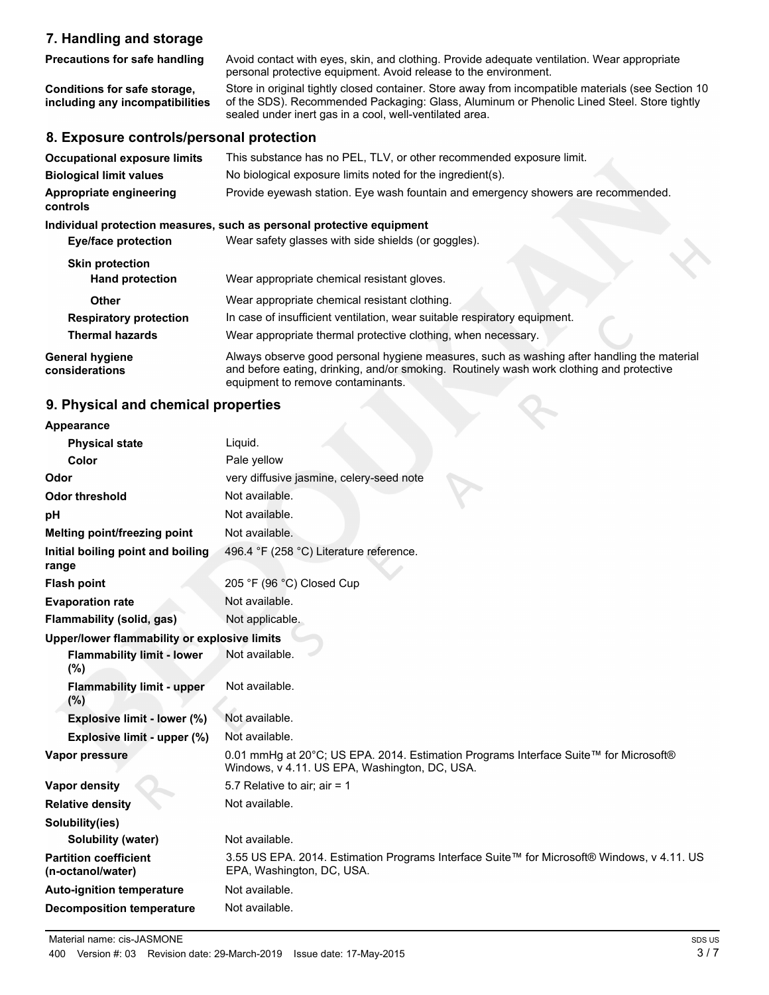#### **7. Handling and storage**

Avoid contact with eyes, skin, and clothing. Provide adequate ventilation. Wear appropriate personal protective equipment. Avoid release to the environment. **Precautions for safe handling** Store in original tightly closed container. Store away from incompatible materials (see Section 10 of the SDS). Recommended Packaging: Glass, Aluminum or Phenolic Lined Steel. Store tightly sealed under inert gas in a cool, well-ventilated area. **Conditions for safe storage, including any incompatibilities**

#### **8. Exposure controls/personal protection**

| <b>Occupational exposure limits</b><br><b>Biological limit values</b><br>Appropriate engineering<br>controls | This substance has no PEL, TLV, or other recommended exposure limit.<br>No biological exposure limits noted for the ingredient(s).<br>Provide eyewash station. Eye wash fountain and emergency showers are recommended.     |  |  |
|--------------------------------------------------------------------------------------------------------------|-----------------------------------------------------------------------------------------------------------------------------------------------------------------------------------------------------------------------------|--|--|
|                                                                                                              | Individual protection measures, such as personal protective equipment                                                                                                                                                       |  |  |
| <b>Eye/face protection</b>                                                                                   | Wear safety glasses with side shields (or goggles).                                                                                                                                                                         |  |  |
| <b>Skin protection</b>                                                                                       |                                                                                                                                                                                                                             |  |  |
| <b>Hand protection</b>                                                                                       | Wear appropriate chemical resistant gloves.                                                                                                                                                                                 |  |  |
| <b>Other</b>                                                                                                 | Wear appropriate chemical resistant clothing.                                                                                                                                                                               |  |  |
| <b>Respiratory protection</b>                                                                                | In case of insufficient ventilation, wear suitable respiratory equipment.                                                                                                                                                   |  |  |
| Thermal hazards                                                                                              | Wear appropriate thermal protective clothing, when necessary.                                                                                                                                                               |  |  |
| <b>General hygiene</b><br>considerations                                                                     | Always observe good personal hygiene measures, such as washing after handling the material<br>and before eating, drinking, and/or smoking. Routinely wash work clothing and protective<br>equipment to remove contaminants. |  |  |

#### **9. Physical and chemical properties**

| Appearance                                                                                  |                                                                                                                                       |
|---------------------------------------------------------------------------------------------|---------------------------------------------------------------------------------------------------------------------------------------|
| <b>Physical state</b>                                                                       | Liquid.                                                                                                                               |
| Color                                                                                       | Pale yellow                                                                                                                           |
| Odor                                                                                        | very diffusive jasmine, celery-seed note                                                                                              |
| <b>Odor threshold</b>                                                                       | Not available.                                                                                                                        |
| рH                                                                                          | Not available.                                                                                                                        |
| Melting point/freezing point                                                                | Not available.                                                                                                                        |
| Initial boiling point and boiling<br>range                                                  | 496.4 °F (258 °C) Literature reference.                                                                                               |
| <b>Flash point</b>                                                                          | 205 °F (96 °C) Closed Cup                                                                                                             |
| <b>Evaporation rate</b>                                                                     | Not available.                                                                                                                        |
| Flammability (solid, gas)                                                                   | Not applicable.                                                                                                                       |
| Upper/lower flammability or explosive limits<br><b>Flammability limit - lower</b><br>$(\%)$ | Not available.                                                                                                                        |
| <b>Flammability limit - upper</b><br>(%)                                                    | Not available.                                                                                                                        |
| Explosive limit - lower (%)                                                                 | Not available.                                                                                                                        |
| Explosive limit - upper (%)                                                                 | Not available.                                                                                                                        |
| Vapor pressure                                                                              | 0.01 mmHg at 20°C; US EPA. 2014. Estimation Programs Interface Suite™ for Microsoft®<br>Windows, v 4.11. US EPA, Washington, DC, USA. |
| Vapor density                                                                               | 5.7 Relative to air; air = 1                                                                                                          |
| <b>Relative density</b>                                                                     | Not available.                                                                                                                        |
| Solubility(ies)                                                                             |                                                                                                                                       |
| Solubility (water)                                                                          | Not available.                                                                                                                        |
| <b>Partition coefficient</b><br>(n-octanol/water)                                           | 3.55 US EPA. 2014. Estimation Programs Interface Suite™ for Microsoft® Windows, v 4.11. US<br>EPA, Washington, DC, USA.               |
| <b>Auto-ignition temperature</b>                                                            | Not available.                                                                                                                        |
| <b>Decomposition temperature</b>                                                            | Not available.                                                                                                                        |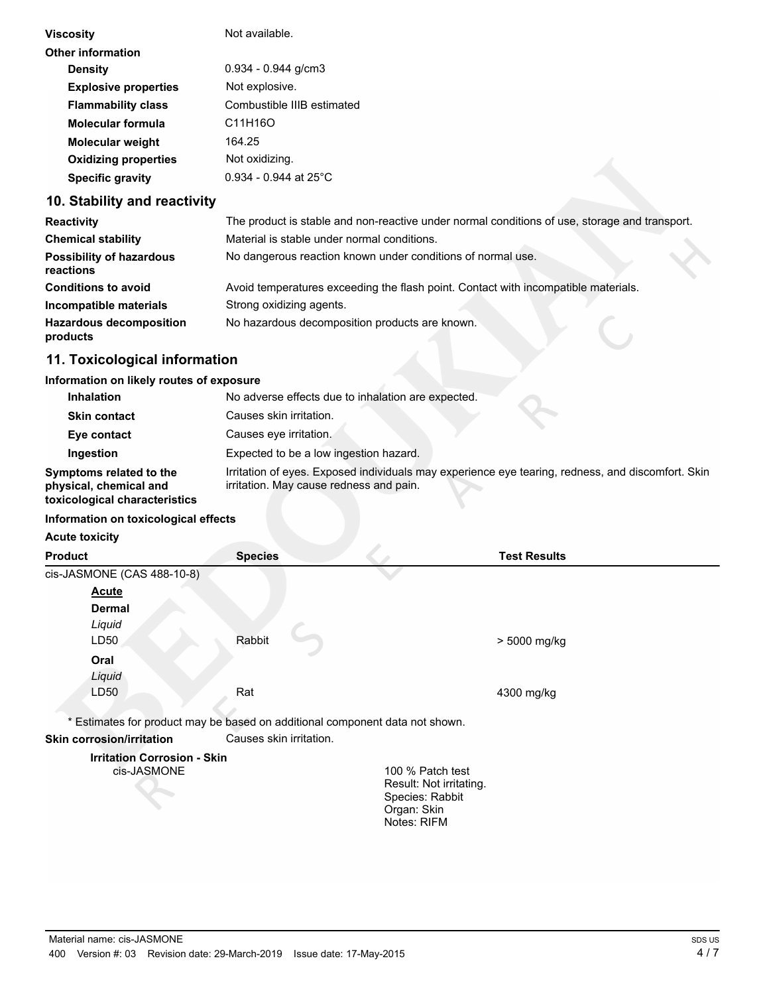| Viscosity                   | Not available.             |  |
|-----------------------------|----------------------------|--|
| Other information           |                            |  |
| <b>Density</b>              | $0.934 - 0.944$ g/cm3      |  |
| <b>Explosive properties</b> | Not explosive.             |  |
| <b>Flammability class</b>   | Combustible IIIB estimated |  |
| Molecular formula           | C11H16O                    |  |
| <b>Molecular weight</b>     | 164.25                     |  |
| <b>Oxidizing properties</b> | Not oxidizing.             |  |
| <b>Specific gravity</b>     | $0.934 - 0.944$ at 25°C    |  |
|                             |                            |  |

#### **10. Stability and reactivity**

| <b>Reactivity</b>                            | The product is stable and non-reactive under normal conditions of use, storage and transport. |
|----------------------------------------------|-----------------------------------------------------------------------------------------------|
| <b>Chemical stability</b>                    | Material is stable under normal conditions.                                                   |
| <b>Possibility of hazardous</b><br>reactions | No dangerous reaction known under conditions of normal use.                                   |
| <b>Conditions to avoid</b>                   | Avoid temperatures exceeding the flash point. Contact with incompatible materials.            |
| Incompatible materials                       | Strong oxidizing agents.                                                                      |
| <b>Hazardous decomposition</b><br>products   | No hazardous decomposition products are known.                                                |

## **11. Toxicological information**

#### **Information on likely routes of exposure**

| <b>Inhalation</b>                                                                  | No adverse effects due to inhalation are expected.                                                                                           |
|------------------------------------------------------------------------------------|----------------------------------------------------------------------------------------------------------------------------------------------|
| <b>Skin contact</b>                                                                | Causes skin irritation.                                                                                                                      |
| Eye contact                                                                        | Causes eve irritation.                                                                                                                       |
| Ingestion                                                                          | Expected to be a low ingestion hazard.                                                                                                       |
| Symptoms related to the<br>physical, chemical and<br>toxicological characteristics | Irritation of eyes. Exposed individuals may experience eye tearing, redness, and discomfort. Skin<br>irritation. May cause redness and pain. |

#### **Information on toxicological effects**

| <b>Acute toxicity</b>                                                        |                         |                                |
|------------------------------------------------------------------------------|-------------------------|--------------------------------|
| <b>Product</b>                                                               | <b>Species</b>          | <b>Test Results</b>            |
| cis-JASMONE (CAS 488-10-8)                                                   |                         |                                |
| <u>Acute</u>                                                                 |                         |                                |
| <b>Dermal</b>                                                                |                         |                                |
| Liquid                                                                       |                         |                                |
| LD50                                                                         | Rabbit                  | > 5000 mg/kg                   |
| Oral                                                                         |                         |                                |
| Liquid                                                                       |                         |                                |
| LD50                                                                         | Rat                     | 4300 mg/kg                     |
|                                                                              |                         |                                |
| * Estimates for product may be based on additional component data not shown. |                         |                                |
| <b>Skin corrosion/irritation</b>                                             | Causes skin irritation. |                                |
| <b>Irritation Corrosion - Skin</b>                                           |                         |                                |
| cis-JASMONE                                                                  |                         | 100 % Patch test               |
|                                                                              |                         | Result: Not irritating.        |
|                                                                              |                         | Species: Rabbit<br>Organ: Skin |
|                                                                              |                         | Notes: RIFM                    |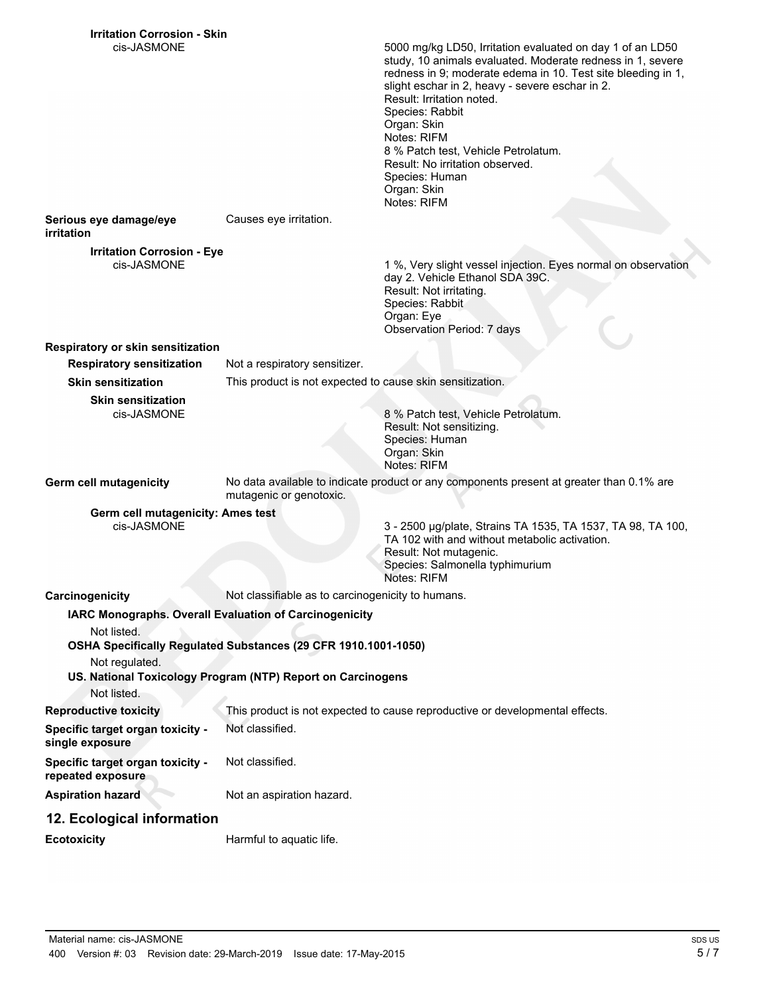| <b>Irritation Corrosion - Skin</b>                     |                                                                |                                                                                                                                                                                                                                                                                                                                                                                                                                                    |
|--------------------------------------------------------|----------------------------------------------------------------|----------------------------------------------------------------------------------------------------------------------------------------------------------------------------------------------------------------------------------------------------------------------------------------------------------------------------------------------------------------------------------------------------------------------------------------------------|
| cis-JASMONE                                            |                                                                | 5000 mg/kg LD50, Irritation evaluated on day 1 of an LD50<br>study, 10 animals evaluated. Moderate redness in 1, severe<br>redness in 9; moderate edema in 10. Test site bleeding in 1,<br>slight eschar in 2, heavy - severe eschar in 2.<br>Result: Irritation noted.<br>Species: Rabbit<br>Organ: Skin<br>Notes: RIFM<br>8 % Patch test, Vehicle Petrolatum.<br>Result: No irritation observed.<br>Species: Human<br>Organ: Skin<br>Notes: RIFM |
| Serious eye damage/eye<br>irritation                   | Causes eye irritation.                                         |                                                                                                                                                                                                                                                                                                                                                                                                                                                    |
| <b>Irritation Corrosion - Eye</b>                      |                                                                |                                                                                                                                                                                                                                                                                                                                                                                                                                                    |
| cis-JASMONE                                            |                                                                | 1 %, Very slight vessel injection. Eyes normal on observation<br>day 2. Vehicle Ethanol SDA 39C.<br>Result: Not irritating.<br>Species: Rabbit<br>Organ: Eye<br><b>Observation Period: 7 days</b>                                                                                                                                                                                                                                                  |
| Respiratory or skin sensitization                      |                                                                |                                                                                                                                                                                                                                                                                                                                                                                                                                                    |
| <b>Respiratory sensitization</b>                       | Not a respiratory sensitizer.                                  |                                                                                                                                                                                                                                                                                                                                                                                                                                                    |
| <b>Skin sensitization</b>                              | This product is not expected to cause skin sensitization.      |                                                                                                                                                                                                                                                                                                                                                                                                                                                    |
| <b>Skin sensitization</b><br>cis-JASMONE               |                                                                | 8 % Patch test, Vehicle Petrolatum.<br>Result: Not sensitizing.<br>Species: Human<br>Organ: Skin<br>Notes: RIFM                                                                                                                                                                                                                                                                                                                                    |
| Germ cell mutagenicity                                 | mutagenic or genotoxic.                                        | No data available to indicate product or any components present at greater than 0.1% are                                                                                                                                                                                                                                                                                                                                                           |
| Germ cell mutagenicity: Ames test                      |                                                                |                                                                                                                                                                                                                                                                                                                                                                                                                                                    |
| cis-JASMONE                                            |                                                                | 3 - 2500 µg/plate, Strains TA 1535, TA 1537, TA 98, TA 100,<br>TA 102 with and without metabolic activation.<br>Result: Not mutagenic.<br>Species: Salmonella typhimurium<br>Notes: RIFM                                                                                                                                                                                                                                                           |
| Carcinogenicity                                        | Not classifiable as to carcinogenicity to humans.              |                                                                                                                                                                                                                                                                                                                                                                                                                                                    |
| IARC Monographs. Overall Evaluation of Carcinogenicity |                                                                |                                                                                                                                                                                                                                                                                                                                                                                                                                                    |
| Not listed.                                            |                                                                |                                                                                                                                                                                                                                                                                                                                                                                                                                                    |
|                                                        | OSHA Specifically Regulated Substances (29 CFR 1910.1001-1050) |                                                                                                                                                                                                                                                                                                                                                                                                                                                    |
| Not regulated.                                         | US. National Toxicology Program (NTP) Report on Carcinogens    |                                                                                                                                                                                                                                                                                                                                                                                                                                                    |
| Not listed.                                            |                                                                |                                                                                                                                                                                                                                                                                                                                                                                                                                                    |
| <b>Reproductive toxicity</b>                           |                                                                | This product is not expected to cause reproductive or developmental effects.                                                                                                                                                                                                                                                                                                                                                                       |
| Specific target organ toxicity -<br>single exposure    | Not classified.                                                |                                                                                                                                                                                                                                                                                                                                                                                                                                                    |
| Specific target organ toxicity -<br>repeated exposure  | Not classified.                                                |                                                                                                                                                                                                                                                                                                                                                                                                                                                    |
| <b>Aspiration hazard</b>                               | Not an aspiration hazard.                                      |                                                                                                                                                                                                                                                                                                                                                                                                                                                    |
| 12. Ecological information                             |                                                                |                                                                                                                                                                                                                                                                                                                                                                                                                                                    |
| <b>Ecotoxicity</b>                                     | Harmful to aquatic life.                                       |                                                                                                                                                                                                                                                                                                                                                                                                                                                    |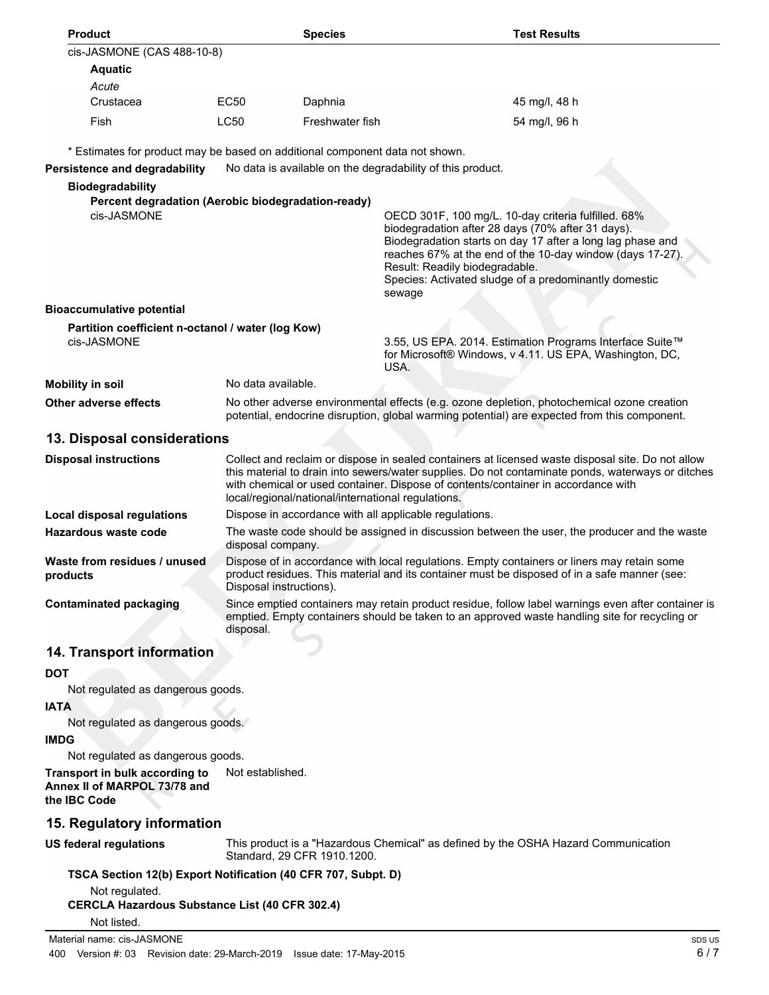| cis-JASMONE (CAS 488-10-8)                                                     |                                                                                                                                                                                                                  |                                                                                                                                                                                                                        |                                                                                                                                                                                                                                                                                                                                          |        |
|--------------------------------------------------------------------------------|------------------------------------------------------------------------------------------------------------------------------------------------------------------------------------------------------------------|------------------------------------------------------------------------------------------------------------------------------------------------------------------------------------------------------------------------|------------------------------------------------------------------------------------------------------------------------------------------------------------------------------------------------------------------------------------------------------------------------------------------------------------------------------------------|--------|
| <b>Aquatic</b>                                                                 |                                                                                                                                                                                                                  |                                                                                                                                                                                                                        |                                                                                                                                                                                                                                                                                                                                          |        |
| Acute                                                                          |                                                                                                                                                                                                                  |                                                                                                                                                                                                                        |                                                                                                                                                                                                                                                                                                                                          |        |
| Crustacea                                                                      | EC50                                                                                                                                                                                                             | Daphnia                                                                                                                                                                                                                | 45 mg/l, 48 h                                                                                                                                                                                                                                                                                                                            |        |
| Fish                                                                           | LC50                                                                                                                                                                                                             | Freshwater fish                                                                                                                                                                                                        | 54 mg/l, 96 h                                                                                                                                                                                                                                                                                                                            |        |
| * Estimates for product may be based on additional component data not shown.   |                                                                                                                                                                                                                  |                                                                                                                                                                                                                        |                                                                                                                                                                                                                                                                                                                                          |        |
| Persistence and degradability                                                  |                                                                                                                                                                                                                  |                                                                                                                                                                                                                        | No data is available on the degradability of this product.                                                                                                                                                                                                                                                                               |        |
| <b>Biodegradability</b>                                                        |                                                                                                                                                                                                                  |                                                                                                                                                                                                                        |                                                                                                                                                                                                                                                                                                                                          |        |
| Percent degradation (Aerobic biodegradation-ready)                             |                                                                                                                                                                                                                  |                                                                                                                                                                                                                        |                                                                                                                                                                                                                                                                                                                                          |        |
| cis-JASMONE                                                                    |                                                                                                                                                                                                                  |                                                                                                                                                                                                                        | OECD 301F, 100 mg/L. 10-day criteria fulfilled. 68%<br>biodegradation after 28 days (70% after 31 days).<br>Biodegradation starts on day 17 after a long lag phase and<br>reaches 67% at the end of the 10-day window (days 17-27).<br>Result: Readily biodegradable.<br>Species: Activated sludge of a predominantly domestic<br>sewage |        |
| <b>Bioaccumulative potential</b>                                               |                                                                                                                                                                                                                  |                                                                                                                                                                                                                        |                                                                                                                                                                                                                                                                                                                                          |        |
| Partition coefficient n-octanol / water (log Kow)<br>cis-JASMONE               |                                                                                                                                                                                                                  | 3.55, US EPA. 2014. Estimation Programs Interface Suite™<br>for Microsoft® Windows, v 4.11. US EPA, Washington, DC,<br>USA.                                                                                            |                                                                                                                                                                                                                                                                                                                                          |        |
| <b>Mobility in soil</b>                                                        | No data available.                                                                                                                                                                                               |                                                                                                                                                                                                                        |                                                                                                                                                                                                                                                                                                                                          |        |
| <b>Other adverse effects</b>                                                   |                                                                                                                                                                                                                  |                                                                                                                                                                                                                        | No other adverse environmental effects (e.g. ozone depletion, photochemical ozone creation<br>potential, endocrine disruption, global warming potential) are expected from this component.                                                                                                                                               |        |
| 13. Disposal considerations                                                    |                                                                                                                                                                                                                  |                                                                                                                                                                                                                        |                                                                                                                                                                                                                                                                                                                                          |        |
| <b>Disposal instructions</b>                                                   |                                                                                                                                                                                                                  | local/regional/national/international regulations.                                                                                                                                                                     | Collect and reclaim or dispose in sealed containers at licensed waste disposal site. Do not allow<br>this material to drain into sewers/water supplies. Do not contaminate ponds, waterways or ditches<br>with chemical or used container. Dispose of contents/container in accordance with                                              |        |
| <b>Local disposal regulations</b>                                              |                                                                                                                                                                                                                  |                                                                                                                                                                                                                        | Dispose in accordance with all applicable regulations.                                                                                                                                                                                                                                                                                   |        |
| <b>Hazardous waste code</b>                                                    |                                                                                                                                                                                                                  | The waste code should be assigned in discussion between the user, the producer and the waste<br>disposal company.                                                                                                      |                                                                                                                                                                                                                                                                                                                                          |        |
| Waste from residues / unused<br>products                                       |                                                                                                                                                                                                                  | Dispose of in accordance with local regulations. Empty containers or liners may retain some<br>product residues. This material and its container must be disposed of in a safe manner (see:<br>Disposal instructions). |                                                                                                                                                                                                                                                                                                                                          |        |
| <b>Contaminated packaging</b>                                                  | Since emptied containers may retain product residue, follow label warnings even after container is<br>emptied. Empty containers should be taken to an approved waste handling site for recycling or<br>disposal. |                                                                                                                                                                                                                        |                                                                                                                                                                                                                                                                                                                                          |        |
| 14. Transport information                                                      |                                                                                                                                                                                                                  |                                                                                                                                                                                                                        |                                                                                                                                                                                                                                                                                                                                          |        |
| <b>DOT</b>                                                                     |                                                                                                                                                                                                                  |                                                                                                                                                                                                                        |                                                                                                                                                                                                                                                                                                                                          |        |
| Not regulated as dangerous goods.                                              |                                                                                                                                                                                                                  |                                                                                                                                                                                                                        |                                                                                                                                                                                                                                                                                                                                          |        |
| <b>IATA</b>                                                                    |                                                                                                                                                                                                                  |                                                                                                                                                                                                                        |                                                                                                                                                                                                                                                                                                                                          |        |
| Not regulated as dangerous goods.                                              |                                                                                                                                                                                                                  |                                                                                                                                                                                                                        |                                                                                                                                                                                                                                                                                                                                          |        |
| <b>IMDG</b>                                                                    |                                                                                                                                                                                                                  |                                                                                                                                                                                                                        |                                                                                                                                                                                                                                                                                                                                          |        |
| Not regulated as dangerous goods.                                              |                                                                                                                                                                                                                  |                                                                                                                                                                                                                        |                                                                                                                                                                                                                                                                                                                                          |        |
| Transport in bulk according to<br>Annex II of MARPOL 73/78 and<br>the IBC Code | Not established.                                                                                                                                                                                                 |                                                                                                                                                                                                                        |                                                                                                                                                                                                                                                                                                                                          |        |
| 15. Regulatory information                                                     |                                                                                                                                                                                                                  |                                                                                                                                                                                                                        |                                                                                                                                                                                                                                                                                                                                          |        |
| <b>US federal regulations</b>                                                  |                                                                                                                                                                                                                  | Standard, 29 CFR 1910.1200.                                                                                                                                                                                            | This product is a "Hazardous Chemical" as defined by the OSHA Hazard Communication                                                                                                                                                                                                                                                       |        |
| TSCA Section 12(b) Export Notification (40 CFR 707, Subpt. D)                  |                                                                                                                                                                                                                  |                                                                                                                                                                                                                        |                                                                                                                                                                                                                                                                                                                                          |        |
| Not regulated.<br><b>CERCLA Hazardous Substance List (40 CFR 302.4)</b>        |                                                                                                                                                                                                                  |                                                                                                                                                                                                                        |                                                                                                                                                                                                                                                                                                                                          |        |
| Not listed.                                                                    |                                                                                                                                                                                                                  |                                                                                                                                                                                                                        |                                                                                                                                                                                                                                                                                                                                          |        |
| Material name: cis-JASMONE                                                     |                                                                                                                                                                                                                  |                                                                                                                                                                                                                        |                                                                                                                                                                                                                                                                                                                                          | SDS US |
| 400 Version #: 03 Revision date: 29-March-2019                                 |                                                                                                                                                                                                                  | Issue date: 17-May-2015                                                                                                                                                                                                |                                                                                                                                                                                                                                                                                                                                          | 6/7    |

**Product Species Test Results**